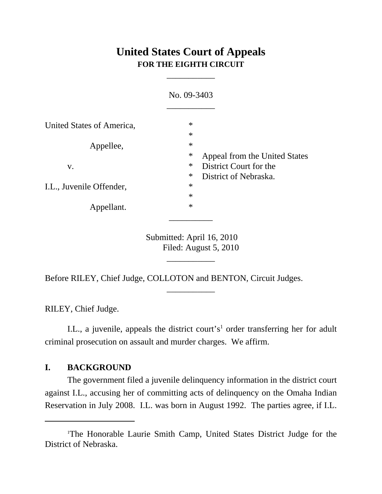# **United States Court of Appeals FOR THE EIGHTH CIRCUIT**

\_\_\_\_\_\_\_\_\_\_\_

|                           | No. 09-3403                                                         |
|---------------------------|---------------------------------------------------------------------|
| United States of America, | $\ast$<br>$\ast$                                                    |
| Appellee,                 | $\ast$<br>$\ast$<br>Appeal from the United States                   |
| V.                        | $\ast$<br>District Court for the<br>$\ast$<br>District of Nebraska. |
| I.L., Juvenile Offender,  | $\ast$<br>$\ast$                                                    |
| Appellant.                | $\ast$                                                              |

Submitted: April 16, 2010 Filed: August 5, 2010

\_\_\_\_\_\_\_\_\_\_\_

\_\_\_\_\_\_\_\_\_\_\_

Before RILEY, Chief Judge, COLLOTON and BENTON, Circuit Judges.

RILEY, Chief Judge.

I.L., a juvenile, appeals the district court's<sup>1</sup> order transferring her for adult criminal prosecution on assault and murder charges. We affirm.

## **I. BACKGROUND**

The government filed a juvenile delinquency information in the district court against I.L., accusing her of committing acts of delinquency on the Omaha Indian Reservation in July 2008. I.L. was born in August 1992. The parties agree, if I.L.

<sup>1</sup> The Honorable Laurie Smith Camp, United States District Judge for the District of Nebraska.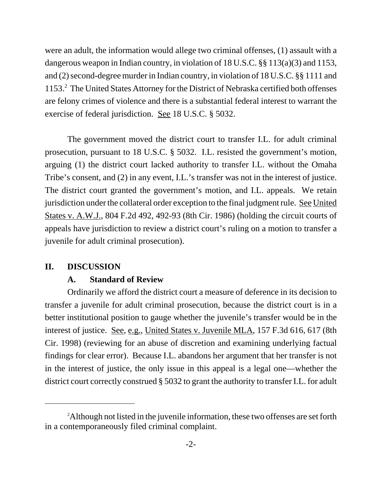were an adult, the information would allege two criminal offenses, (1) assault with a dangerous weapon in Indian country, in violation of 18 U.S.C. §§ 113(a)(3) and 1153, and (2) second-degree murder in Indian country, in violation of 18 U.S.C. §§ 1111 and 1153.<sup>2</sup> The United States Attorney for the District of Nebraska certified both offenses are felony crimes of violence and there is a substantial federal interest to warrant the exercise of federal jurisdiction. See 18 U.S.C. § 5032.

The government moved the district court to transfer I.L. for adult criminal prosecution, pursuant to 18 U.S.C. § 5032. I.L. resisted the government's motion, arguing (1) the district court lacked authority to transfer I.L. without the Omaha Tribe's consent, and (2) in any event, I.L.'s transfer was not in the interest of justice. The district court granted the government's motion, and I.L. appeals. We retain jurisdiction under the collateral order exception to the final judgment rule. See United States v. A.W.J., 804 F.2d 492, 492-93 (8th Cir. 1986) (holding the circuit courts of appeals have jurisdiction to review a district court's ruling on a motion to transfer a juvenile for adult criminal prosecution).

## **II. DISCUSSION**

#### **A. Standard of Review**

Ordinarily we afford the district court a measure of deference in its decision to transfer a juvenile for adult criminal prosecution, because the district court is in a better institutional position to gauge whether the juvenile's transfer would be in the interest of justice. See, e.g., United States v. Juvenile MLA, 157 F.3d 616, 617 (8th Cir. 1998) (reviewing for an abuse of discretion and examining underlying factual findings for clear error). Because I.L. abandons her argument that her transfer is not in the interest of justice, the only issue in this appeal is a legal one—whether the district court correctly construed § 5032 to grant the authority to transfer I.L. for adult

<sup>2</sup> Although not listed in the juvenile information, these two offenses are set forth in a contemporaneously filed criminal complaint.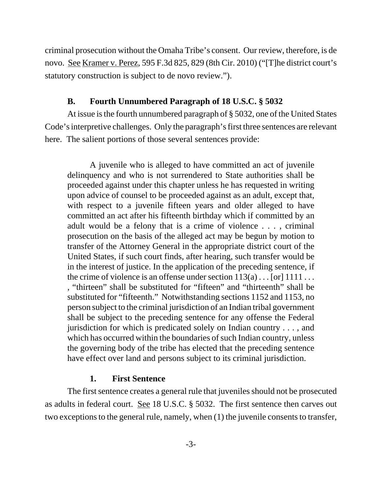criminal prosecution without the Omaha Tribe's consent. Our review, therefore, is de novo. See Kramer v. Perez, 595 F.3d 825, 829 (8th Cir. 2010) ("[T]he district court's statutory construction is subject to de novo review.").

## **B. Fourth Unnumbered Paragraph of 18 U.S.C. § 5032**

At issue is the fourth unnumbered paragraph of § 5032, one of the United States Code's interpretive challenges. Only the paragraph's first three sentences are relevant here. The salient portions of those several sentences provide:

A juvenile who is alleged to have committed an act of juvenile delinquency and who is not surrendered to State authorities shall be proceeded against under this chapter unless he has requested in writing upon advice of counsel to be proceeded against as an adult, except that, with respect to a juvenile fifteen years and older alleged to have committed an act after his fifteenth birthday which if committed by an adult would be a felony that is a crime of violence . . . , criminal prosecution on the basis of the alleged act may be begun by motion to transfer of the Attorney General in the appropriate district court of the United States, if such court finds, after hearing, such transfer would be in the interest of justice. In the application of the preceding sentence, if the crime of violence is an offense under section  $113(a) \dots$  [or]  $1111 \dots$ , "thirteen" shall be substituted for "fifteen" and "thirteenth" shall be substituted for "fifteenth." Notwithstanding sections 1152 and 1153, no person subject to the criminal jurisdiction of an Indian tribal government shall be subject to the preceding sentence for any offense the Federal jurisdiction for which is predicated solely on Indian country . . . , and which has occurred within the boundaries of such Indian country, unless the governing body of the tribe has elected that the preceding sentence have effect over land and persons subject to its criminal jurisdiction.

#### **1. First Sentence**

The first sentence creates a general rule that juveniles should not be prosecuted as adults in federal court. See 18 U.S.C. § 5032. The first sentence then carves out two exceptions to the general rule, namely, when (1) the juvenile consents to transfer,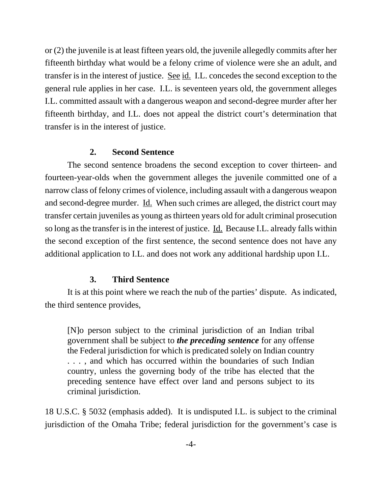or (2) the juvenile is at least fifteen years old, the juvenile allegedly commits after her fifteenth birthday what would be a felony crime of violence were she an adult, and transfer is in the interest of justice. See id. I.L. concedes the second exception to the general rule applies in her case. I.L. is seventeen years old, the government alleges I.L. committed assault with a dangerous weapon and second-degree murder after her fifteenth birthday, and I.L. does not appeal the district court's determination that transfer is in the interest of justice.

## **2. Second Sentence**

The second sentence broadens the second exception to cover thirteen- and fourteen-year-olds when the government alleges the juvenile committed one of a narrow class of felony crimes of violence, including assault with a dangerous weapon and second-degree murder. <u>Id.</u> When such crimes are alleged, the district court may transfer certain juveniles as young as thirteen years old for adult criminal prosecution so long as the transfer is in the interest of justice. Id. Because I.L. already falls within the second exception of the first sentence, the second sentence does not have any additional application to I.L. and does not work any additional hardship upon I.L.

#### **3. Third Sentence**

It is at this point where we reach the nub of the parties' dispute. As indicated, the third sentence provides,

[N]o person subject to the criminal jurisdiction of an Indian tribal government shall be subject to *the preceding sentence* for any offense the Federal jurisdiction for which is predicated solely on Indian country . . . , and which has occurred within the boundaries of such Indian country, unless the governing body of the tribe has elected that the preceding sentence have effect over land and persons subject to its criminal jurisdiction.

18 U.S.C. § 5032 (emphasis added). It is undisputed I.L. is subject to the criminal jurisdiction of the Omaha Tribe; federal jurisdiction for the government's case is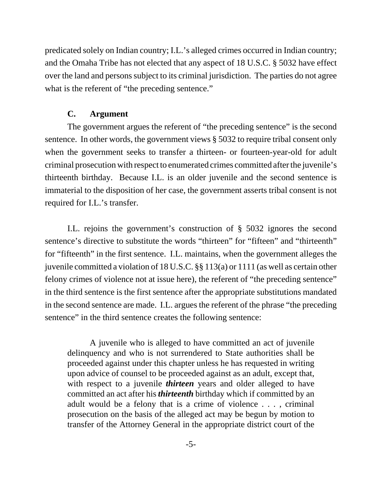predicated solely on Indian country; I.L.'s alleged crimes occurred in Indian country; and the Omaha Tribe has not elected that any aspect of 18 U.S.C. § 5032 have effect over the land and persons subject to its criminal jurisdiction. The parties do not agree what is the referent of "the preceding sentence."

#### **C. Argument**

The government argues the referent of "the preceding sentence" is the second sentence. In other words, the government views § 5032 to require tribal consent only when the government seeks to transfer a thirteen- or fourteen-year-old for adult criminal prosecution with respect to enumerated crimes committed after the juvenile's thirteenth birthday. Because I.L. is an older juvenile and the second sentence is immaterial to the disposition of her case, the government asserts tribal consent is not required for I.L.'s transfer.

I.L. rejoins the government's construction of § 5032 ignores the second sentence's directive to substitute the words "thirteen" for "fifteen" and "thirteenth" for "fifteenth" in the first sentence. I.L. maintains, when the government alleges the juvenile committed a violation of 18 U.S.C. §§ 113(a) or 1111 (as well as certain other felony crimes of violence not at issue here), the referent of "the preceding sentence" in the third sentence is the first sentence after the appropriate substitutions mandated in the second sentence are made. I.L. argues the referent of the phrase "the preceding sentence" in the third sentence creates the following sentence:

A juvenile who is alleged to have committed an act of juvenile delinquency and who is not surrendered to State authorities shall be proceeded against under this chapter unless he has requested in writing upon advice of counsel to be proceeded against as an adult, except that, with respect to a juvenile *thirteen* years and older alleged to have committed an act after his *thirteenth* birthday which if committed by an adult would be a felony that is a crime of violence . . . , criminal prosecution on the basis of the alleged act may be begun by motion to transfer of the Attorney General in the appropriate district court of the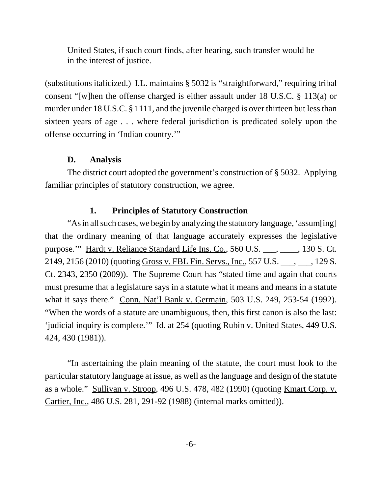United States, if such court finds, after hearing, such transfer would be in the interest of justice.

(substitutions italicized.) I.L. maintains § 5032 is "straightforward," requiring tribal consent "[w]hen the offense charged is either assault under 18 U.S.C. § 113(a) or murder under 18 U.S.C. § 1111, and the juvenile charged is over thirteen but less than sixteen years of age . . . where federal jurisdiction is predicated solely upon the offense occurring in 'Indian country.'"

#### **D. Analysis**

The district court adopted the government's construction of § 5032. Applying familiar principles of statutory construction, we agree.

## **1. Principles of Statutory Construction**

"As in all such cases, we begin by analyzing the statutory language, 'assum[ing] that the ordinary meaning of that language accurately expresses the legislative purpose.'" Hardt v. Reliance Standard Life Ins. Co., 560 U.S. \_\_\_, \_\_\_\_, 130 S. Ct. 2149, 2156 (2010) (quoting Gross v. FBL Fin. Servs., Inc., 557 U.S. \_\_\_, \_\_\_, 129 S. Ct. 2343, 2350 (2009)). The Supreme Court has "stated time and again that courts must presume that a legislature says in a statute what it means and means in a statute what it says there." Conn. Nat'l Bank v. Germain, 503 U.S. 249, 253-54 (1992). "When the words of a statute are unambiguous, then, this first canon is also the last: 'judicial inquiry is complete.'" Id. at 254 (quoting Rubin v. United States, 449 U.S. 424, 430 (1981)).

"In ascertaining the plain meaning of the statute, the court must look to the particular statutory language at issue, as well as the language and design of the statute as a whole." Sullivan v. Stroop, 496 U.S. 478, 482 (1990) (quoting Kmart Corp. v. Cartier, Inc., 486 U.S. 281, 291-92 (1988) (internal marks omitted)).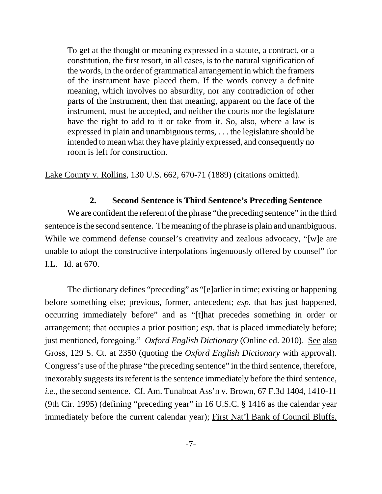To get at the thought or meaning expressed in a statute, a contract, or a constitution, the first resort, in all cases, is to the natural signification of the words, in the order of grammatical arrangement in which the framers of the instrument have placed them. If the words convey a definite meaning, which involves no absurdity, nor any contradiction of other parts of the instrument, then that meaning, apparent on the face of the instrument, must be accepted, and neither the courts nor the legislature have the right to add to it or take from it. So, also, where a law is expressed in plain and unambiguous terms, . . . the legislature should be intended to mean what they have plainly expressed, and consequently no room is left for construction.

Lake County v. Rollins, 130 U.S. 662, 670-71 (1889) (citations omitted).

## **2. Second Sentence is Third Sentence's Preceding Sentence**

We are confident the referent of the phrase "the preceding sentence" in the third sentence is the second sentence. The meaning of the phrase is plain and unambiguous. While we commend defense counsel's creativity and zealous advocacy, "[w]e are unable to adopt the constructive interpolations ingenuously offered by counsel" for I.L. Id. at 670.

The dictionary defines "preceding" as "[e]arlier in time; existing or happening before something else; previous, former, antecedent; *esp.* that has just happened, occurring immediately before" and as "[t]hat precedes something in order or arrangement; that occupies a prior position; *esp.* that is placed immediately before; just mentioned, foregoing." *Oxford English Dictionary* (Online ed. 2010). See also Gross, 129 S. Ct. at 2350 (quoting the *Oxford English Dictionary* with approval). Congress's use of the phrase "the preceding sentence" in the third sentence, therefore, inexorably suggests its referent is the sentence immediately before the third sentence, *i.e.*, the second sentence. Cf. Am. Tunaboat Ass'n v. Brown, 67 F.3d 1404, 1410-11 (9th Cir. 1995) (defining "preceding year" in 16 U.S.C. § 1416 as the calendar year immediately before the current calendar year); First Nat'l Bank of Council Bluffs,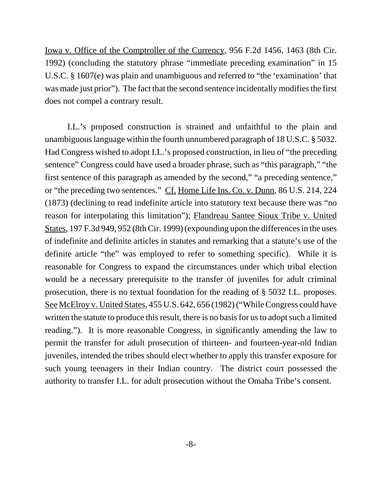Iowa v. Office of the Comptroller of the Currency, 956 F.2d 1456, 1463 (8th Cir. 1992) (concluding the statutory phrase "immediate preceding examination" in 15 U.S.C. § 1607(e) was plain and unambiguous and referred to "the 'examination' that was made just prior"). The fact that the second sentence incidentally modifies the first does not compel a contrary result.

I.L.'s proposed construction is strained and unfaithful to the plain and unambiguous language within the fourth unnumbered paragraph of 18 U.S.C. § 5032. Had Congress wished to adopt I.L.'s proposed construction, in lieu of "the preceding sentence" Congress could have used a broader phrase, such as "this paragraph," "the first sentence of this paragraph as amended by the second," "a preceding sentence," or "the preceding two sentences." Cf. Home Life Ins. Co. v. Dunn, 86 U.S. 214, 224 (1873) (declining to read indefinite article into statutory text because there was "no reason for interpolating this limitation"); Flandreau Santee Sioux Tribe v. United States, 197 F.3d 949, 952 (8th Cir. 1999) (expounding upon the differences in the uses of indefinite and definite articles in statutes and remarking that a statute's use of the definite article "the" was employed to refer to something specific). While it is reasonable for Congress to expand the circumstances under which tribal election would be a necessary prerequisite to the transfer of juveniles for adult criminal prosecution, there is no textual foundation for the reading of § 5032 I.L. proposes. See McElroy v. United States, 455 U.S. 642, 656 (1982) ("While Congress could have written the statute to produce this result, there is no basis for us to adopt such a limited reading."). It is more reasonable Congress, in significantly amending the law to permit the transfer for adult prosecution of thirteen- and fourteen-year-old Indian juveniles, intended the tribes should elect whether to apply this transfer exposure for such young teenagers in their Indian country. The district court possessed the authority to transfer I.L. for adult prosecution without the Omaha Tribe's consent.